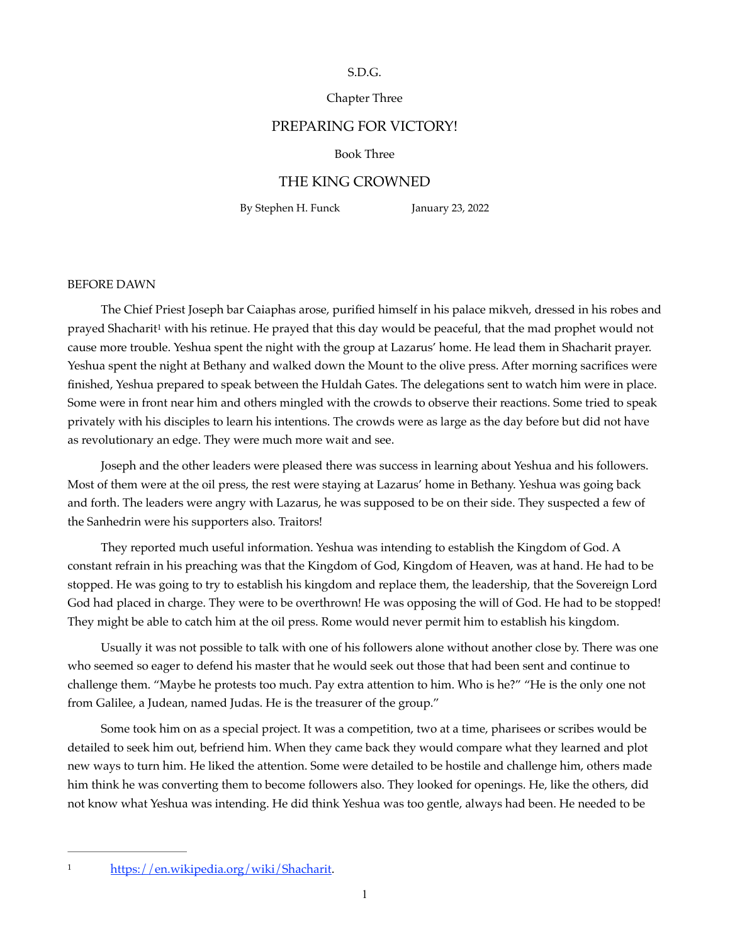### S.D.G.

# Chapter Three

### PREPARING FOR VICTORY!

#### Book Three

### THE KING CROWNED

By Stephen H. Funck January 23, 2022

#### BEFORE DAWN

<span id="page-0-1"></span>The Chief Priest Joseph bar Caiaphas arose, purified himself in his palace mikveh, dressed in his robes and prayed Shachari[t](#page-0-0)<sup>[1](#page-0-0)</sup> with his retinue. He prayed that this day would be peaceful, that the mad prophet would not cause more trouble. Yeshua spent the night with the group at Lazarus' home. He lead them in Shacharit prayer. Yeshua spent the night at Bethany and walked down the Mount to the olive press. After morning sacrifices were finished, Yeshua prepared to speak between the Huldah Gates. The delegations sent to watch him were in place. Some were in front near him and others mingled with the crowds to observe their reactions. Some tried to speak privately with his disciples to learn his intentions. The crowds were as large as the day before but did not have as revolutionary an edge. They were much more wait and see.

Joseph and the other leaders were pleased there was success in learning about Yeshua and his followers. Most of them were at the oil press, the rest were staying at Lazarus' home in Bethany. Yeshua was going back and forth. The leaders were angry with Lazarus, he was supposed to be on their side. They suspected a few of the Sanhedrin were his supporters also. Traitors!

They reported much useful information. Yeshua was intending to establish the Kingdom of God. A constant refrain in his preaching was that the Kingdom of God, Kingdom of Heaven, was at hand. He had to be stopped. He was going to try to establish his kingdom and replace them, the leadership, that the Sovereign Lord God had placed in charge. They were to be overthrown! He was opposing the will of God. He had to be stopped! They might be able to catch him at the oil press. Rome would never permit him to establish his kingdom.

Usually it was not possible to talk with one of his followers alone without another close by. There was one who seemed so eager to defend his master that he would seek out those that had been sent and continue to challenge them. "Maybe he protests too much. Pay extra attention to him. Who is he?" "He is the only one not from Galilee, a Judean, named Judas. He is the treasurer of the group."

Some took him on as a special project. It was a competition, two at a time, pharisees or scribes would be detailed to seek him out, befriend him. When they came back they would compare what they learned and plot new ways to turn him. He liked the attention. Some were detailed to be hostile and challenge him, others made him think he was converting them to become followers also. They looked for openings. He, like the others, did not know what Yeshua was intending. He did think Yeshua was too gentle, always had been. He needed to be

<span id="page-0-0"></span><sup>1</sup> <https://en.wikipedia.org/wiki/Shacharit>.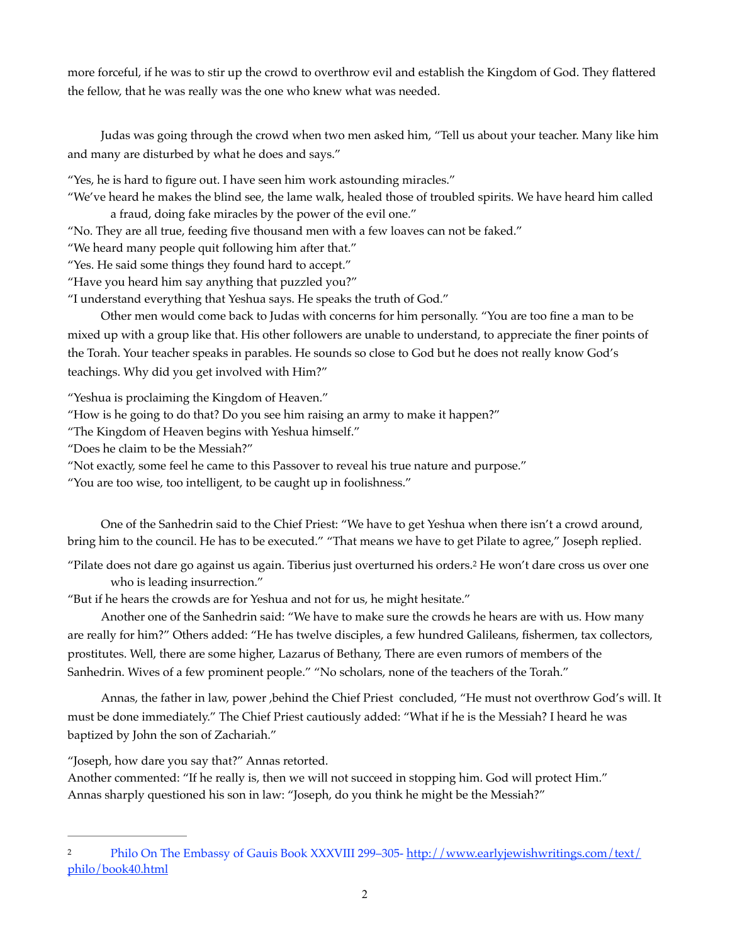more forceful, if he was to stir up the crowd to overthrow evil and establish the Kingdom of God. They flattered the fellow, that he was really was the one who knew what was needed.

Judas was going through the crowd when two men asked him, "Tell us about your teacher. Many like him and many are disturbed by what he does and says."

"Yes, he is hard to figure out. I have seen him work astounding miracles."

"We've heard he makes the blind see, the lame walk, healed those of troubled spirits. We have heard him called a fraud, doing fake miracles by the power of the evil one."

"No. They are all true, feeding five thousand men with a few loaves can not be faked."

"We heard many people quit following him after that."

"Yes. He said some things they found hard to accept."

"Have you heard him say anything that puzzled you?"

"I understand everything that Yeshua says. He speaks the truth of God."

Other men would come back to Judas with concerns for him personally. "You are too fine a man to be mixed up with a group like that. His other followers are unable to understand, to appreciate the finer points of the Torah. Your teacher speaks in parables. He sounds so close to God but he does not really know God's teachings. Why did you get involved with Him?"

"Yeshua is proclaiming the Kingdom of Heaven."

"How is he going to do that? Do you see him raising an army to make it happen?"

"The Kingdom of Heaven begins with Yeshua himself."

"Does he claim to be the Messiah?"

"Not exactly, some feel he came to this Passover to reveal his true nature and purpose."

"You are too wise, too intelligent, to be caught up in foolishness."

One of the Sanhedrin said to the Chief Priest: "We have to get Yeshua when there isn't a crowd around, bring him to the council. He has to be executed." "That means we have to get Pilate to agree," Joseph replied.

<span id="page-1-1"></span>"Pilate does not dare go against us again. Tiberius just overturned his orders.<sup>[2](#page-1-0)</sup> He won't dare cross us over one who is leading insurrection."

"But if he hears the crowds are for Yeshua and not for us, he might hesitate."

Another one of the Sanhedrin said: "We have to make sure the crowds he hears are with us. How many are really for him?" Others added: "He has twelve disciples, a few hundred Galileans, fishermen, tax collectors, prostitutes. Well, there are some higher, Lazarus of Bethany, There are even rumors of members of the Sanhedrin. Wives of a few prominent people." "No scholars, none of the teachers of the Torah."

Annas, the father in law, power ,behind the Chief Priest concluded, "He must not overthrow God's will. It must be done immediately." The Chief Priest cautiously added: "What if he is the Messiah? I heard he was baptized by John the son of Zachariah."

"Joseph, how dare you say that?" Annas retorted.

Another commented: "If he really is, then we will not succeed in stopping him. God will protect Him." Annas sharply questioned his son in law: "Joseph, do you think he might be the Messiah?"

<span id="page-1-0"></span>[<sup>2</sup>](#page-1-1) Philo On The Embassy of Gauis Book XXXVIII 299–305- [http://www.earlyjewishwritings.com/text/](http://www.earlyjewishwritings.com/text/philo/book40.html) [philo/book40.html](http://www.earlyjewishwritings.com/text/philo/book40.html)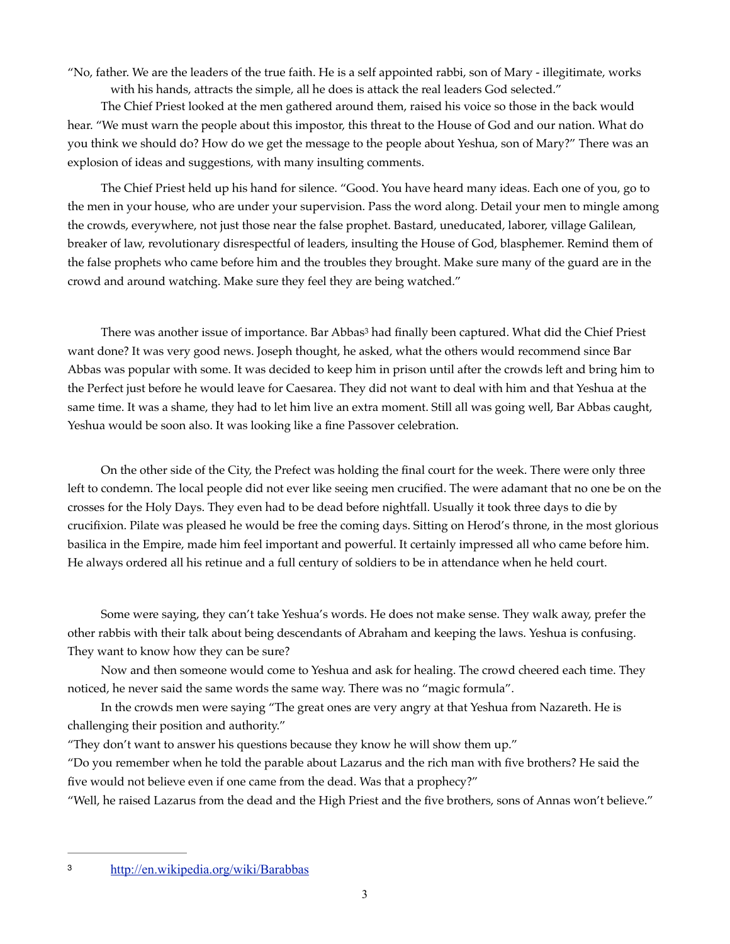"No, father. We are the leaders of the true faith. He is a self appointed rabbi, son of Mary - illegitimate, works with his hands, attracts the simple, all he does is attack the real leaders God selected."

The Chief Priest looked at the men gathered around them, raised his voice so those in the back would hear. "We must warn the people about this impostor, this threat to the House of God and our nation. What do you think we should do? How do we get the message to the people about Yeshua, son of Mary?" There was an explosion of ideas and suggestions, with many insulting comments.

The Chief Priest held up his hand for silence. "Good. You have heard many ideas. Each one of you, go to the men in your house, who are under your supervision. Pass the word along. Detail your men to mingle among the crowds, everywhere, not just those near the false prophet. Bastard, uneducated, laborer, village Galilean, breaker of law, revolutionary disrespectful of leaders, insulting the House of God, blasphemer. Remind them of the false prophets who came before him and the troubles they brought. Make sure many of the guard are in the crowd and around watching. Make sure they feel they are being watched."

<span id="page-2-1"></span>There was another issue of importance. Bar Abbas<sup>[3](#page-2-0)</sup> had finally been captured. What did the Chief Priest want done? It was very good news. Joseph thought, he asked, what the others would recommend since Bar Abbas was popular with some. It was decided to keep him in prison until after the crowds left and bring him to the Perfect just before he would leave for Caesarea. They did not want to deal with him and that Yeshua at the same time. It was a shame, they had to let him live an extra moment. Still all was going well, Bar Abbas caught, Yeshua would be soon also. It was looking like a fine Passover celebration.

On the other side of the City, the Prefect was holding the final court for the week. There were only three left to condemn. The local people did not ever like seeing men crucified. The were adamant that no one be on the crosses for the Holy Days. They even had to be dead before nightfall. Usually it took three days to die by crucifixion. Pilate was pleased he would be free the coming days. Sitting on Herod's throne, in the most glorious basilica in the Empire, made him feel important and powerful. It certainly impressed all who came before him. He always ordered all his retinue and a full century of soldiers to be in attendance when he held court.

Some were saying, they can't take Yeshua's words. He does not make sense. They walk away, prefer the other rabbis with their talk about being descendants of Abraham and keeping the laws. Yeshua is confusing. They want to know how they can be sure?

Now and then someone would come to Yeshua and ask for healing. The crowd cheered each time. They noticed, he never said the same words the same way. There was no "magic formula".

In the crowds men were saying "The great ones are very angry at that Yeshua from Nazareth. He is challenging their position and authority."

"They don't want to answer his questions because they know he will show them up."

"Do you remember when he told the parable about Lazarus and the rich man with five brothers? He said the five would not believe even if one came from the dead. Was that a prophecy?"

"Well, he raised Lazarus from the dead and the High Priest and the five brothers, sons of Annas won't believe."

<span id="page-2-0"></span><http://en.wikipedia.org/wiki/Barabbas> [3](#page-2-1)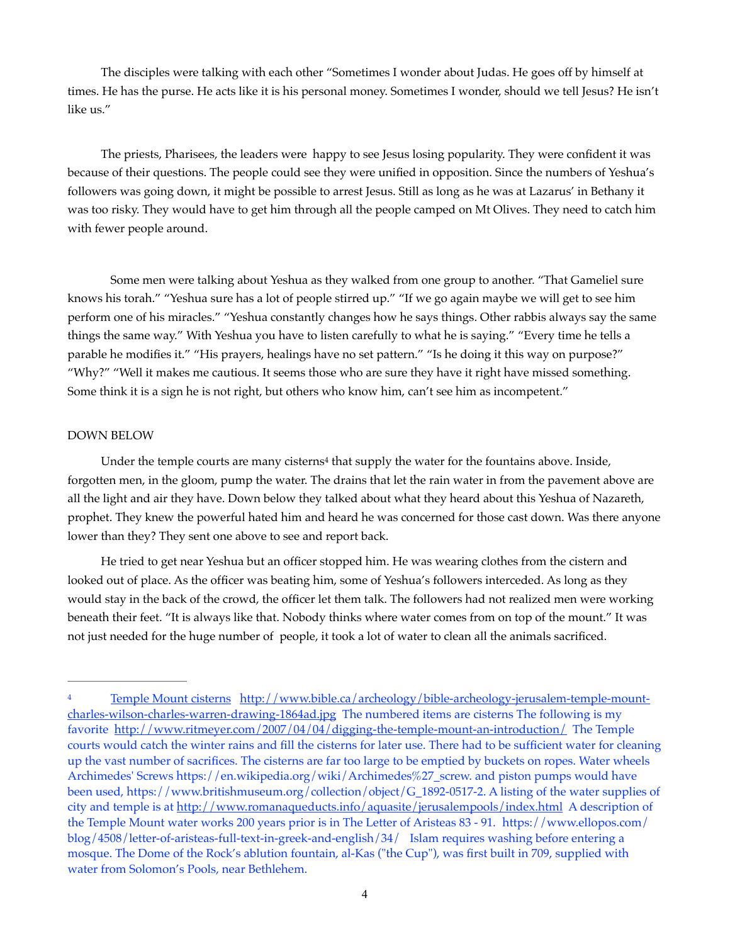The disciples were talking with each other "Sometimes I wonder about Judas. He goes off by himself at times. He has the purse. He acts like it is his personal money. Sometimes I wonder, should we tell Jesus? He isn't like us."

The priests, Pharisees, the leaders were happy to see Jesus losing popularity. They were confident it was because of their questions. The people could see they were unified in opposition. Since the numbers of Yeshua's followers was going down, it might be possible to arrest Jesus. Still as long as he was at Lazarus' in Bethany it was too risky. They would have to get him through all the people camped on Mt Olives. They need to catch him with fewer people around.

Some men were talking about Yeshua as they walked from one group to another. "That Gameliel sure knows his torah." "Yeshua sure has a lot of people stirred up." "If we go again maybe we will get to see him perform one of his miracles." "Yeshua constantly changes how he says things. Other rabbis always say the same things the same way." With Yeshua you have to listen carefully to what he is saying." "Every time he tells a parable he modifies it." "His prayers, healings have no set pattern." "Is he doing it this way on purpose?" "Why?" "Well it makes me cautious. It seems those who are sure they have it right have missed something. Some think it is a sign he is not right, but others who know him, can't see him as incompetent."

### DOWN BELOW

<span id="page-3-1"></span>Under the temple court[s](#page-3-0) are many cisterns<sup>[4](#page-3-0)</sup> that supply the water for the fountains above. Inside, forgotten men, in the gloom, pump the water. The drains that let the rain water in from the pavement above are all the light and air they have. Down below they talked about what they heard about this Yeshua of Nazareth, prophet. They knew the powerful hated him and heard he was concerned for those cast down. Was there anyone lower than they? They sent one above to see and report back.

He tried to get near Yeshua but an officer stopped him. He was wearing clothes from the cistern and looked out of place. As the officer was beating him, some of Yeshua's followers interceded. As long as they would stay in the back of the crowd, the officer let them talk. The followers had not realized men were working beneath their feet. "It is always like that. Nobody thinks where water comes from on top of the mount." It was not just needed for the huge number of people, it took a lot of water to clean all the animals sacrificed.

<span id="page-3-0"></span>[Temple Mount cisterns](https://www.google.com/search?q=Temple+Mount+cisterns&hl=en&client=safari&rls=en&tbm=isch&tbo=u&source=univ&sa=X&ei=E1I_UaKsO-SD0QGB_4CwCw&ved=0CDMQsAQ&biw=1227&bih=978) [http://www.bible.ca/archeology/bible-archeology-jerusalem-temple-mount-](http://www.bible.ca/archeology/bible-archeology-jerusalem-temple-mount-charles-wilson-charles-warren-drawing-1864ad.jpg) [4](#page-3-1) [charles-wilson-charles-warren-drawing-1864ad.jpg](http://www.bible.ca/archeology/bible-archeology-jerusalem-temple-mount-charles-wilson-charles-warren-drawing-1864ad.jpg) The numbered items are cisterns The following is my favorite <http://www.ritmeyer.com/2007/04/04/digging-the-temple-mount-an-introduction/> The Temple courts would catch the winter rains and fill the cisterns for later use. There had to be sufficient water for cleaning up the vast number of sacrifices. The cisterns are far too large to be emptied by buckets on ropes. Water wheels Archimedes' Screws [https://en.wikipedia.org/wiki/Archimedes%27\\_screw.](https://en.wikipedia.org/wiki/Archimedes%27_screw) and piston pumps would have been used, [https://www.britishmuseum.org/collection/object/G\\_1892-0517-2](https://www.britishmuseum.org/collection/object/G_1892-0517-2). A listing of the water supplies of city and temple is at<http://www.romanaqueducts.info/aquasite/jerusalempools/index.html> A description of the Temple Mount water works 200 years prior is in The Letter of Aristeas 83 - 91. [https://www.ellopos.com/](https://www.ellopos.com/blog/4508/letter-of-aristeas-full-text-in-greek-and-english/34/) [blog/4508/letter-of-aristeas-full-text-in-greek-and-english/34/](https://www.ellopos.com/blog/4508/letter-of-aristeas-full-text-in-greek-and-english/34/) Islam requires washing before entering a mosque. The Dome of the Rock's ablution fountain, al-Kas ("the Cup"), was first built in 709, supplied with water from Solomon's Pools, near Bethlehem.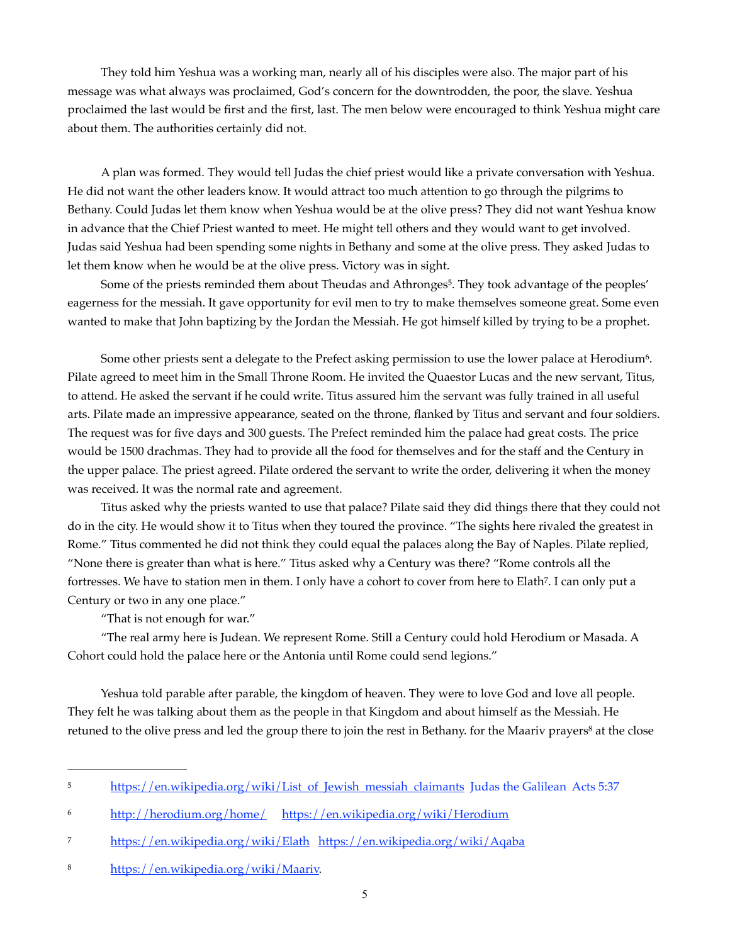They told him Yeshua was a working man, nearly all of his disciples were also. The major part of his message was what always was proclaimed, God's concern for the downtrodden, the poor, the slave. Yeshua proclaimed the last would be first and the first, last. The men below were encouraged to think Yeshua might care about them. The authorities certainly did not.

A plan was formed. They would tell Judas the chief priest would like a private conversation with Yeshua. He did not want the other leaders know. It would attract too much attention to go through the pilgrims to Bethany. Could Judas let them know when Yeshua would be at the olive press? They did not want Yeshua know in advance that the Chief Priest wanted to meet. He might tell others and they would want to get involved. Judas said Yeshua had been spending some nights in Bethany and some at the olive press. They asked Judas to let them know when he would be at the olive press. Victory was in sight.

<span id="page-4-4"></span>Some of the priests reminded them about Theudas and Athronges<sup>[5](#page-4-0)</sup>. They took advantage of the peoples' eagerness for the messiah. It gave opportunity for evil men to try to make themselves someone great. Some even wanted to make that John baptizing by the Jordan the Messiah. He got himself killed by trying to be a prophet.

<span id="page-4-5"></span>Some other priests sent a delegate to the Prefect asking permission to use the lower palace at Herodium<sup>6</sup>[.](#page-4-1) Pilate agreed to meet him in the Small Throne Room. He invited the Quaestor Lucas and the new servant, Titus, to attend. He asked the servant if he could write. Titus assured him the servant was fully trained in all useful arts. Pilate made an impressive appearance, seated on the throne, flanked by Titus and servant and four soldiers. The request was for five days and 300 guests. The Prefect reminded him the palace had great costs. The price would be 1500 drachmas. They had to provide all the food for themselves and for the staff and the Century in the upper palace. The priest agreed. Pilate ordered the servant to write the order, delivering it when the money was received. It was the normal rate and agreement.

Titus asked why the priests wanted to use that palace? Pilate said they did things there that they could not do in the city. He would show it to Titus when they toured the province. "The sights here rivaled the greatest in Rome." Titus commented he did not think they could equal the palaces along the Bay of Naples. Pilate replied, "None there is greater than what is here." Titus asked why a Century was there? "Rome controls all the fortresses[.](#page-4-2) We have to station men in them. I only have a cohort to cover from here to Elath<sup>[7](#page-4-2)</sup>. I can only put a Century or two in any one place."

<span id="page-4-7"></span><span id="page-4-6"></span>"That is not enough for war."

"The real army here is Judean. We represent Rome. Still a Century could hold Herodium or Masada. A Cohort could hold the palace here or the Antonia until Rome could send legions."

Yeshua told parable after parable, the kingdom of heaven. They were to love God and love all people. They felt he was talking about them as the people in that Kingdom and about himself as the Messiah. He retuned to the olive press and led the group there to join the rest in Bethany. for the Maariv prayers<sup>[8](#page-4-3)</sup> at the close

<span id="page-4-0"></span><sup>&</sup>lt;sup>5</sup> [https://en.wikipedia.org/wiki/List\\_of\\_Jewish\\_messiah\\_claimants](https://en.wikipedia.org/wiki/List_of_Jewish_messiah_claimants) Judas the Galilean Acts [5](#page-4-4):37

<span id="page-4-1"></span><http://herodium.org/home/><https://en.wikipedia.org/wiki/Herodium>[6](#page-4-5)

<span id="page-4-2"></span><sup>7</sup> <https://en.wikipedia.org/wiki/Elath><https://en.wikipedia.org/wiki/Aqaba>

<span id="page-4-3"></span><sup>8</sup> [https://en.wikipedia.org/wiki/Maariv.](https://en.wikipedia.org/wiki/Maariv)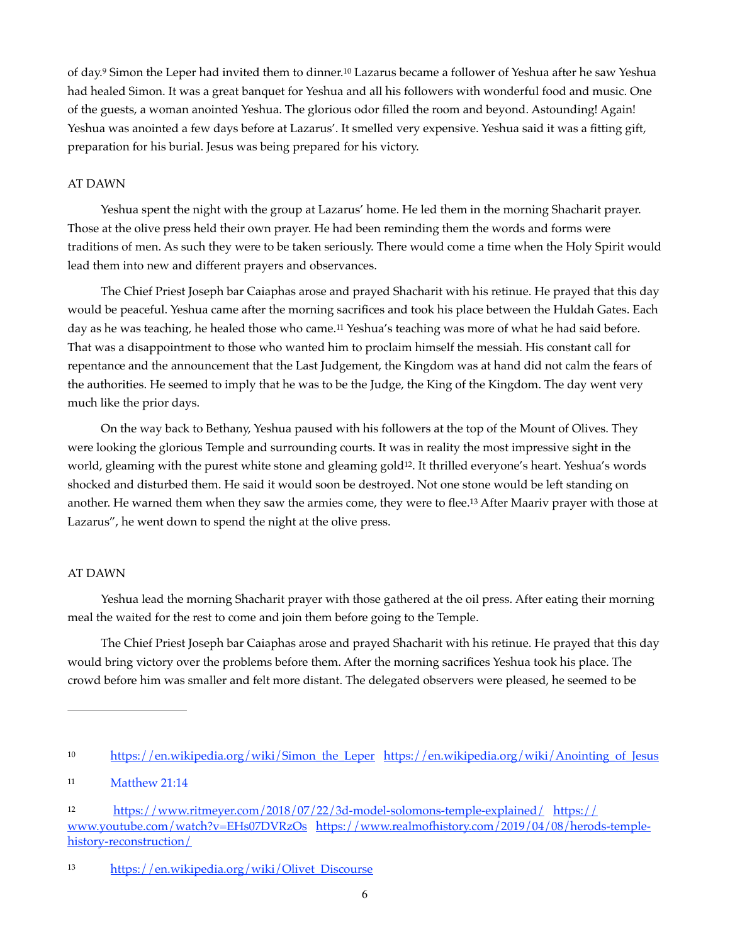<span id="page-5-4"></span>of day.<sup>9</sup> Simon the Leper had invited them to dinner.<sup>10</sup> Lazarus became a follower of Yeshua after he saw Yeshua had healed Simon. It was a great banquet for Yeshua and all his followers with wonderful food and music. One of the guests, a woman anointed Yeshua. The glorious odor filled the room and beyond. Astounding! Again! Yeshua was anointed a few days before at Lazarus'. It smelled very expensive. Yeshua said it was a fitting gift, preparation for his burial. Jesus was being prepared for his victory.

### AT DAWN

Yeshua spent the night with the group at Lazarus' home. He led them in the morning Shacharit prayer. Those at the olive press held their own prayer. He had been reminding them the words and forms were traditions of men. As such they were to be taken seriously. There would come a time when the Holy Spirit would lead them into new and different prayers and observances.

<span id="page-5-5"></span>The Chief Priest Joseph bar Caiaphas arose and prayed Shacharit with his retinue. He prayed that this day would be peaceful. Yeshua came after the morning sacrifices and took his place between the Huldah Gates. Each day as he was teaching, he healed those who came[.](#page-5-1)<sup>[11](#page-5-1)</sup> Yeshua's teaching was more of what he had said before. That was a disappointment to those who wanted him to proclaim himself the messiah. His constant call for repentance and the announcement that the Last Judgement, the Kingdom was at hand did not calm the fears of the authorities. He seemed to imply that he was to be the Judge, the King of the Kingdom. The day went very much like the prior days.

<span id="page-5-6"></span>On the way back to Bethany, Yeshua paused with his followers at the top of the Mount of Olives. They were looking the glorious Temple and surrounding courts. It was in reality the most impressive sight in the world, gleaming with the purest white stone and gleaming gold<sup>12</sup>[.](#page-5-2) It thrilled everyone's heart. Yeshua's words shocked and disturbed them. He said it would soon be destroyed. Not one stone would be left standing on another[.](#page-5-3) He warned them when they saw the armies come, they were to flee.<sup>[13](#page-5-3)</sup> After Maariv prayer with those at Lazarus", he went down to spend the night at the olive press.

### <span id="page-5-7"></span>AT DAWN

Yeshua lead the morning Shacharit prayer with those gathered at the oil press. After eating their morning meal the waited for the rest to come and join them before going to the Temple.

The Chief Priest Joseph bar Caiaphas arose and prayed Shacharit with his retinue. He prayed that this day would bring victory over the problems before them. After the morning sacrifices Yeshua took his place. The crowd before him was smaller and felt more distant. The delegated observers were pleased, he seemed to be

<span id="page-5-0"></span><sup>10</sup> [https://en.wikipedia.org/wiki/Simon\\_the\\_Leper](https://en.wikipedia.org/wiki/Simon_the_Leper) https://en.wikipedia.org/wiki/Anointing\_of\_Jesus

<span id="page-5-1"></span><sup>&</sup>lt;sup>[11](#page-5-5)</sup> Matthew 21:14

<span id="page-5-2"></span>[<sup>12</sup>](#page-5-6) <https://www.ritmeyer.com/2018/07/22/3d-model-solomons-temple-explained/>[https://](https://www.youtube.com/watch?v=EHs07DVRzOs) [www.youtube.com/watch?v=EHs07DVRzOs](https://www.youtube.com/watch?v=EHs07DVRzOs) [https://www.realmofhistory.com/2019/04/08/herods-temple](https://www.realmofhistory.com/2019/04/08/herods-temple-history-reconstruction/)[history-reconstruction/](https://www.realmofhistory.com/2019/04/08/herods-temple-history-reconstruction/) 

<span id="page-5-3"></span>[<sup>13</sup>](#page-5-7) https://en.wikipedia.org/wiki/Olivet\_Discourse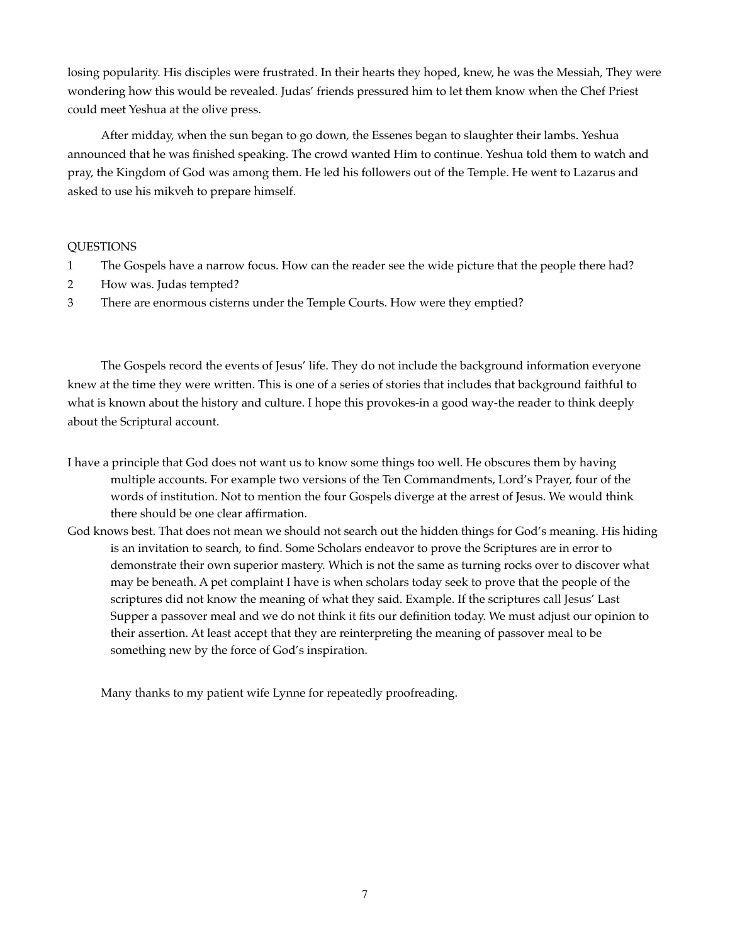losing popularity. His disciples were frustrated. In their hearts they hoped, knew, he was the Messiah, They were wondering how this would be revealed. Judas' friends pressured him to let them know when the Chef Priest could meet Yeshua at the olive press.

After midday, when the sun began to go down, the Essenes began to slaughter their lambs. Yeshua announced that he was finished speaking. The crowd wanted Him to continue. Yeshua told them to watch and pray, the Kingdom of God was among them. He led his followers out of the Temple. He went to Lazarus and asked to use his mikveh to prepare himself.

# QUESTIONS

- 1 The Gospels have a narrow focus. How can the reader see the wide picture that the people there had?
- 2 How was. Judas tempted?
- 3 There are enormous cisterns under the Temple Courts. How were they emptied?

The Gospels record the events of Jesus' life. They do not include the background information everyone knew at the time they were written. This is one of a series of stories that includes that background faithful to what is known about the history and culture. I hope this provokes-in a good way-the reader to think deeply about the Scriptural account.

- I have a principle that God does not want us to know some things too well. He obscures them by having multiple accounts. For example two versions of the Ten Commandments, Lord's Prayer, four of the words of institution. Not to mention the four Gospels diverge at the arrest of Jesus. We would think there should be one clear affirmation.
- God knows best. That does not mean we should not search out the hidden things for God's meaning. His hiding is an invitation to search, to find. Some Scholars endeavor to prove the Scriptures are in error to demonstrate their own superior mastery. Which is not the same as turning rocks over to discover what may be beneath. A pet complaint I have is when scholars today seek to prove that the people of the scriptures did not know the meaning of what they said. Example. If the scriptures call Jesus' Last Supper a passover meal and we do not think it fits our definition today. We must adjust our opinion to their assertion. At least accept that they are reinterpreting the meaning of passover meal to be something new by the force of God's inspiration.

Many thanks to my patient wife Lynne for repeatedly proofreading.